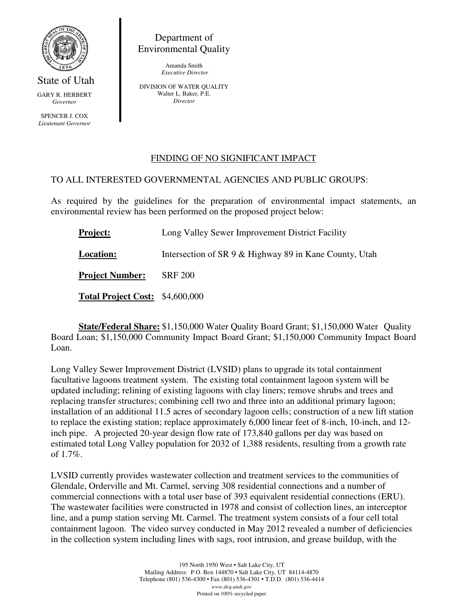

State of Utah GARY R. HERBERT *Governor* 

SPENCER J. COX *Lieutenant Governor* 

Department of Environmental Quality

> Amanda Smith  *Executive Director*

DIVISION OF WATER QUALITY Walter L. Baker, P.E. *Director* 

## FINDING OF NO SIGNIFICANT IMPACT

## TO ALL INTERESTED GOVERNMENTAL AGENCIES AND PUBLIC GROUPS:

As required by the guidelines for the preparation of environmental impact statements, an environmental review has been performed on the proposed project below:

| <b>Project:</b>                 | Long Valley Sewer Improvement District Facility        |
|---------------------------------|--------------------------------------------------------|
| <b>Location:</b>                | Intersection of SR 9 & Highway 89 in Kane County, Utah |
| <b>Project Number:</b>          | <b>SRF 200</b>                                         |
| Total Project Cost: \$4,600,000 |                                                        |

 **State/Federal Share:** \$1,150,000 Water Quality Board Grant; \$1,150,000 Water Quality Board Loan; \$1,150,000 Community Impact Board Grant; \$1,150,000 Community Impact Board Loan.

Long Valley Sewer Improvement District (LVSID) plans to upgrade its total containment facultative lagoons treatment system. The existing total containment lagoon system will be updated including; relining of existing lagoons with clay liners; remove shrubs and trees and replacing transfer structures; combining cell two and three into an additional primary lagoon; installation of an additional 11.5 acres of secondary lagoon cells; construction of a new lift station to replace the existing station; replace approximately 6,000 linear feet of 8-inch, 10-inch, and 12 inch pipe. A projected 20-year design flow rate of 173,840 gallons per day was based on estimated total Long Valley population for 2032 of 1,388 residents, resulting from a growth rate of 1.7%.

LVSID currently provides wastewater collection and treatment services to the communities of Glendale, Orderville and Mt. Carmel, serving 308 residential connections and a number of commercial connections with a total user base of 393 equivalent residential connections (ERU). The wastewater facilities were constructed in 1978 and consist of collection lines, an interceptor line, and a pump station serving Mt. Carmel. The treatment system consists of a four cell total containment lagoon. The video survey conducted in May 2012 revealed a number of deficiencies in the collection system including lines with sags, root intrusion, and grease buildup, with the